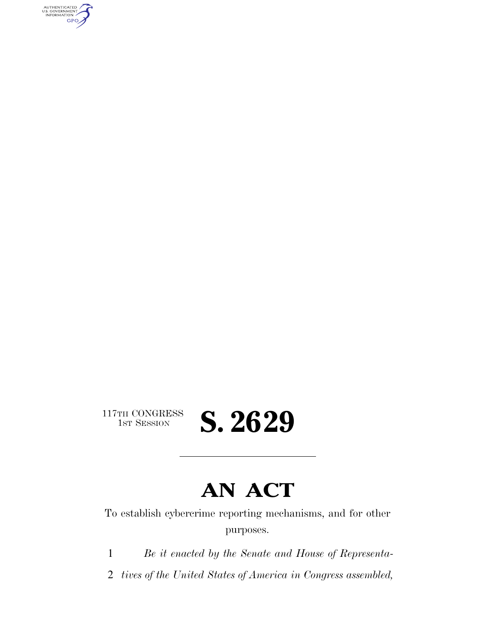AUTHENTICATED<br>U.S. GOVERNMENT<br>INFORMATION GPO

> $\begin{array}{c} \textbf{117TH CONGRESS} \\ \textbf{1ST SESION} \end{array}$ 1ST SESSION **S. 2629**

# **AN ACT**

To establish cybercrime reporting mechanisms, and for other purposes.

1 *Be it enacted by the Senate and House of Representa-*

2 *tives of the United States of America in Congress assembled,*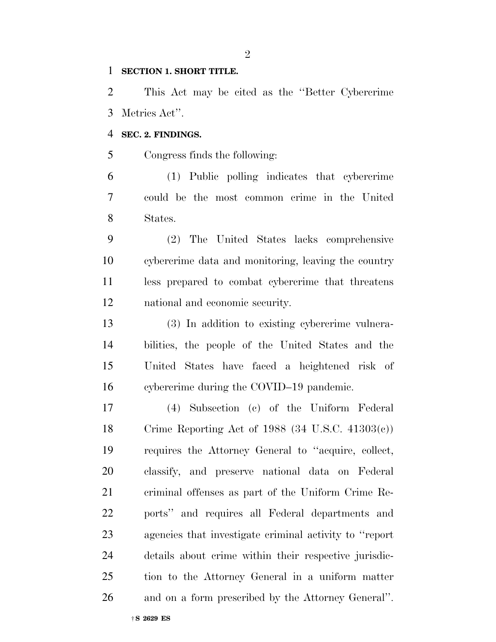### **SECTION 1. SHORT TITLE.**

 This Act may be cited as the ''Better Cybercrime Metrics Act''.

## **SEC. 2. FINDINGS.**

Congress finds the following:

 (1) Public polling indicates that cybercrime could be the most common crime in the United States.

 (2) The United States lacks comprehensive cybercrime data and monitoring, leaving the country less prepared to combat cybercrime that threatens national and economic security.

 (3) In addition to existing cybercrime vulnera- bilities, the people of the United States and the United States have faced a heightened risk of cybercrime during the COVID–19 pandemic.

 (4) Subsection (c) of the Uniform Federal Crime Reporting Act of 1988 (34 U.S.C. 41303(c)) requires the Attorney General to ''acquire, collect, classify, and preserve national data on Federal criminal offenses as part of the Uniform Crime Re- ports'' and requires all Federal departments and agencies that investigate criminal activity to ''report details about crime within their respective jurisdic- tion to the Attorney General in a uniform matter and on a form prescribed by the Attorney General''.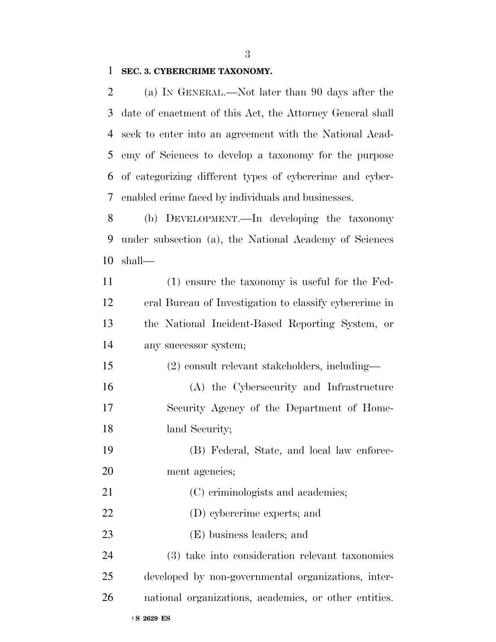#### **SEC. 3. CYBERCRIME TAXONOMY.**

 (a) IN GENERAL.—Not later than 90 days after the date of enactment of this Act, the Attorney General shall seek to enter into an agreement with the National Acad- emy of Sciences to develop a taxonomy for the purpose of categorizing different types of cybercrime and cyber-enabled crime faced by individuals and businesses.

 (b) DEVELOPMENT.—In developing the taxonomy under subsection (a), the National Academy of Sciences shall—

| 11 | (1) ensure the taxonomy is useful for the Fed-         |
|----|--------------------------------------------------------|
| 12 | eral Bureau of Investigation to classify cybercrime in |
| 13 | the National Incident-Based Reporting System, or       |
| 14 | any successor system;                                  |
| 15 | (2) consult relevant stakeholders, including—          |
| 16 | (A) the Cybersecurity and Infrastructure               |
| 17 | Security Agency of the Department of Home-             |
| 18 | land Security;                                         |
| 19 | (B) Federal, State, and local law enforce-             |
| 20 | ment agencies;                                         |
| 21 | (C) criminologists and academics;                      |
| 22 | (D) cybercrime experts; and                            |
| 23 | (E) business leaders; and                              |
| 24 | (3) take into consideration relevant taxonomies        |
| 25 | developed by non-governmental organizations, inter-    |
| 26 | national organizations, academies, or other entities.  |
|    |                                                        |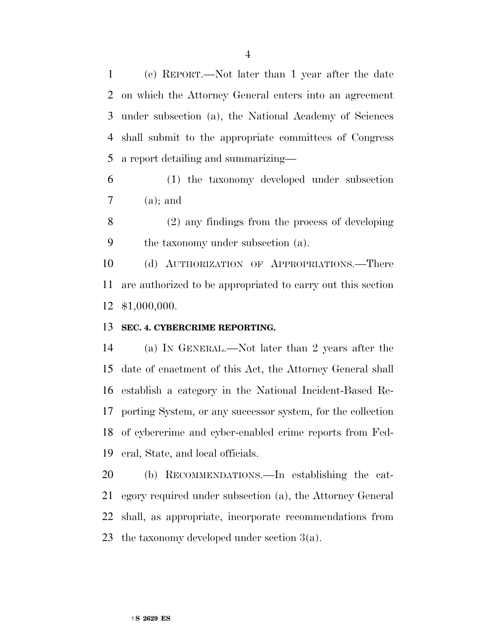(c) REPORT.—Not later than 1 year after the date on which the Attorney General enters into an agreement under subsection (a), the National Academy of Sciences shall submit to the appropriate committees of Congress a report detailing and summarizing—

 (1) the taxonomy developed under subsection (a); and

 (2) any findings from the process of developing the taxonomy under subsection (a).

 (d) AUTHORIZATION OF APPROPRIATIONS.—There are authorized to be appropriated to carry out this section \$1,000,000.

## **SEC. 4. CYBERCRIME REPORTING.**

 (a) IN GENERAL.—Not later than 2 years after the date of enactment of this Act, the Attorney General shall establish a category in the National Incident-Based Re- porting System, or any successor system, for the collection of cybercrime and cyber-enabled crime reports from Fed-eral, State, and local officials.

 (b) RECOMMENDATIONS.—In establishing the cat- egory required under subsection (a), the Attorney General shall, as appropriate, incorporate recommendations from the taxonomy developed under section 3(a).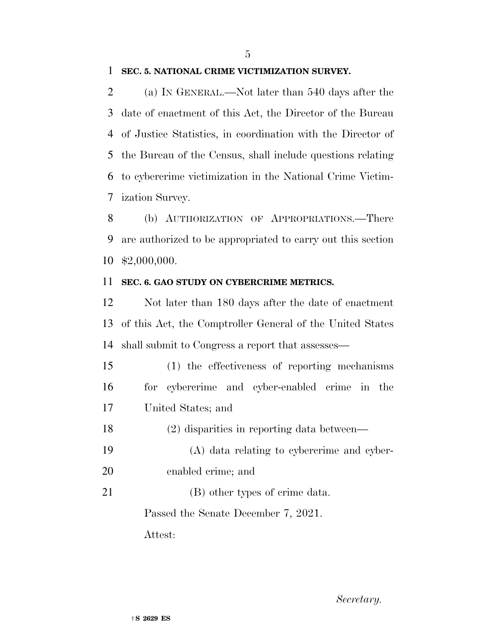## **SEC. 5. NATIONAL CRIME VICTIMIZATION SURVEY.**

 (a) IN GENERAL.—Not later than 540 days after the date of enactment of this Act, the Director of the Bureau of Justice Statistics, in coordination with the Director of the Bureau of the Census, shall include questions relating to cybercrime victimization in the National Crime Victim-ization Survey.

 (b) AUTHORIZATION OF APPROPRIATIONS.—There are authorized to be appropriated to carry out this section \$2,000,000.

# **SEC. 6. GAO STUDY ON CYBERCRIME METRICS.**

 Not later than 180 days after the date of enactment of this Act, the Comptroller General of the United States shall submit to Congress a report that assesses—

 (1) the effectiveness of reporting mechanisms for cybercrime and cyber-enabled crime in the United States; and

- (2) disparities in reporting data between—
- (A) data relating to cybercrime and cyber-enabled crime; and
- (B) other types of crime data.

Passed the Senate December 7, 2021.

Attest: